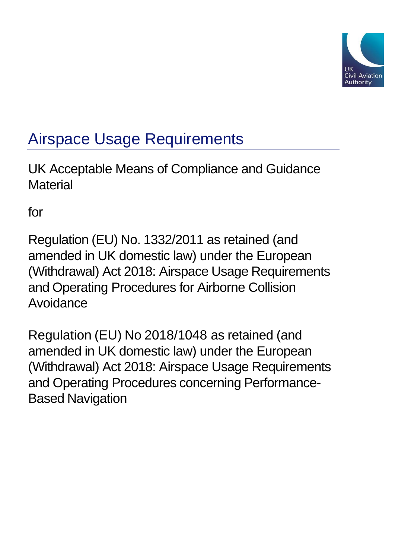

# Airspace Usage Requirements

UK Acceptable Means of Compliance and Guidance **Material** 

for

Regulation (EU) No. 1332/2011 as retained (and amended in UK domestic law) under the European (Withdrawal) Act 2018: Airspace Usage Requirements and Operating Procedures for Airborne Collision Avoidance

Regulation (EU) No 2018/1048 as retained (and amended in UK domestic law) under the European (Withdrawal) Act 2018: Airspace Usage Requirements and Operating Procedures concerning Performance-Based Navigation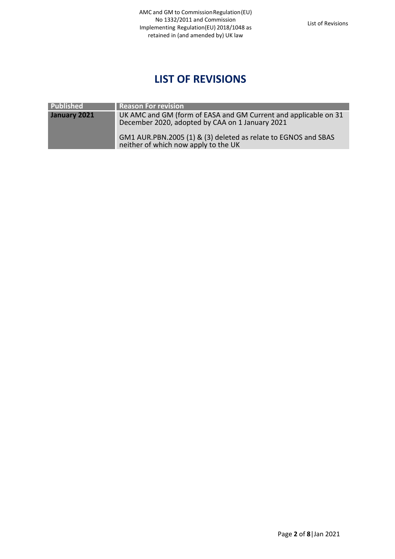# **LIST OF REVISIONS**

<span id="page-1-0"></span>

| <b>Published</b> | Reason For revision                                                                                                |
|------------------|--------------------------------------------------------------------------------------------------------------------|
| January 2021     | UK AMC and GM (form of EASA and GM Current and applicable on 31<br>December 2020, adopted by CAA on 1 January 2021 |
|                  | GM1 AUR.PBN.2005 (1) & (3) deleted as relate to EGNOS and SBAS<br>neither of which now apply to the UK             |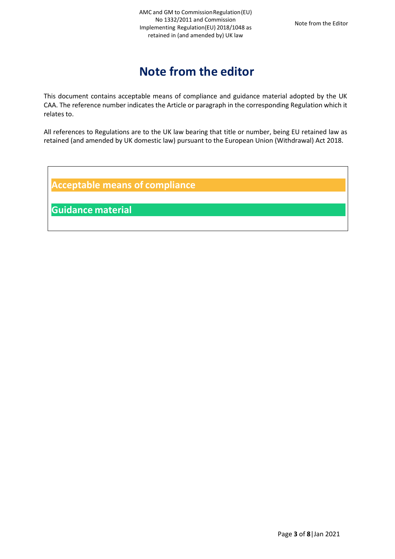# **Note from the editor**

<span id="page-2-0"></span>This document contains acceptable means of compliance and guidance material adopted by the UK CAA. The reference number indicates the Article or paragraph in the corresponding Regulation which it relates to.

All references to Regulations are to the UK law bearing that title or number, being EU retained law as retained (and amended by UK domestic law) pursuant to the European Union (Withdrawal) Act 2018.

**Acceptable means of compliance**

**Guidance material**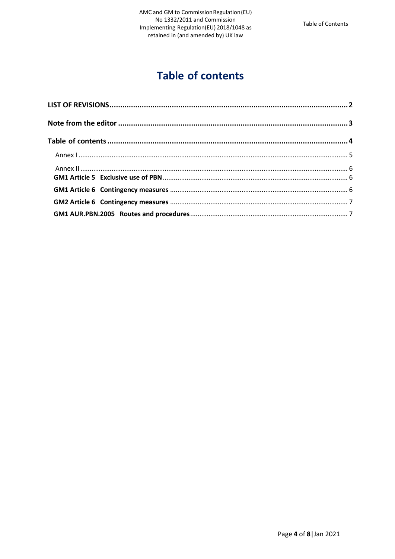# **Table of contents**

<span id="page-3-0"></span>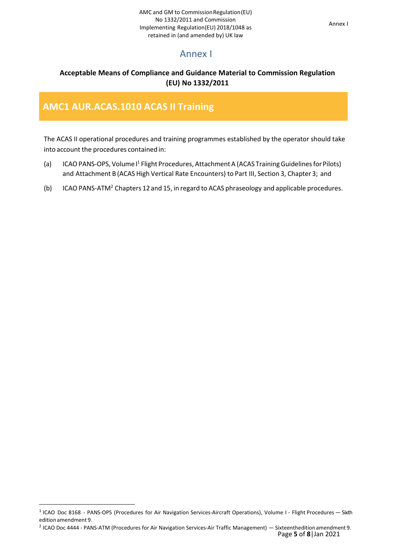### Annex I

#### <span id="page-4-0"></span>**Acceptable Means of Compliance and Guidance Material to Commission Regulation (EU) No 1332/2011**

### **AMC1 AUR.ACAS.1010 ACAS II Training**

The ACAS II operational procedures and training programmes established by the operator should take into account the procedures contained in:

- (a) ICAO PANS-OPS, Volume I<sup>1</sup> Flight Procedures, Attachment A (ACAS Training Guidelines for Pilots) and Attachment B (ACAS High Vertical Rate Encounters) to Part III, Section 3, Chapter 3; and
- (b) ICAO PANS-ATM<sup>2</sup> Chapters 12 and 15, in regard to ACAS phraseology and applicable procedures.

<sup>&</sup>lt;sup>1</sup> ICAO Doc 8168 - PANS-OPS (Procedures for Air Navigation Services-Aircraft Operations), Volume I - Flight Procedures - Sixth edition amendment 9.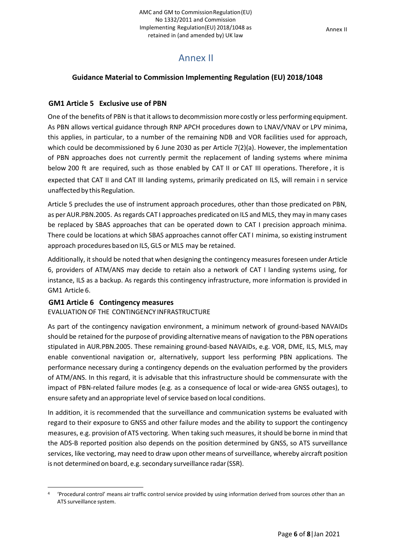## Annex II

#### <span id="page-5-0"></span>**Guidance Material to Commission Implementing Regulation (EU) 2018/1048**

#### <span id="page-5-1"></span>**GM1 Article 5 Exclusive use of PBN**

One of the benefits of PBN is that it allows to decommission more costly or less performing equipment. As PBN allows vertical guidance through RNP APCH procedures down to LNAV/VNAV or LPV minima, this applies, in particular, to a number of the remaining NDB and VOR facilities used for approach, which could be decommissioned by 6 June 2030 as per Article 7(2)(a). However, the implementation of PBN approaches does not currently permit the replacement of landing systems where minima below 200 ft are required, such as those enabled by CAT II or CAT III operations. Therefore, it is expected that CAT II and CAT III landing systems, primarily predicated on ILS, will remain i n service unaffected by this Regulation.

Article 5 precludes the use of instrument approach procedures, other than those predicated on PBN, as per AUR.PBN.2005. Asregards CAT I approaches predicated on ILS and MLS, they may in many cases be replaced by SBAS approaches that can be operated down to CAT I precision approach minima. There could be locations at which SBAS approaches cannot offer CAT I minima, so existing instrument approach procedures based on ILS, GLS or MLS may be retained.

Additionally, it should be noted that when designing the contingency measures foreseen under Article 6, providers of ATM/ANS may decide to retain also a network of CAT I landing systems using, for instance, ILS as a backup. As regards this contingency infrastructure, more information is provided in GM1 Article 6.

#### <span id="page-5-2"></span>**GM1 Article 6 Contingency measures**

#### EVALUATION OF THE CONTINGENCY INFRASTRUCTURE

As part of the contingency navigation environment, a minimum network of ground-based NAVAIDs should be retained forthe purpose of providing alternativemeans of navigation to the PBN operations stipulated in AUR.PBN.2005. These remaining ground-based NAVAIDs, e.g. VOR, DME, ILS, MLS, may enable conventional navigation or, alternatively, support less performing PBN applications. The performance necessary during a contingency depends on the evaluation performed by the providers of ATM/ANS. In this regard, it is advisable that this infrastructure should be commensurate with the impact of PBN-related failure modes (e.g. as a consequence of local or wide-area GNSS outages), to ensure safety and an appropriate level of service based on local conditions.

In addition, it is recommended that the surveillance and communication systems be evaluated with regard to their exposure to GNSS and other failure modes and the ability to support the contingency measures, e.g. provision of ATS vectoring. When taking such measures, it should be borne in mind that the ADS-B reported position also depends on the position determined by GNSS, so ATS surveillance services, like vectoring, may need to draw upon other means of surveillance, whereby aircraft position is not determined on board, e.g. secondary surveillance radar (SSR).

<sup>4</sup> 'Procedural control' means air traffic control service provided by using information derived from sources other than an ATS surveillance system.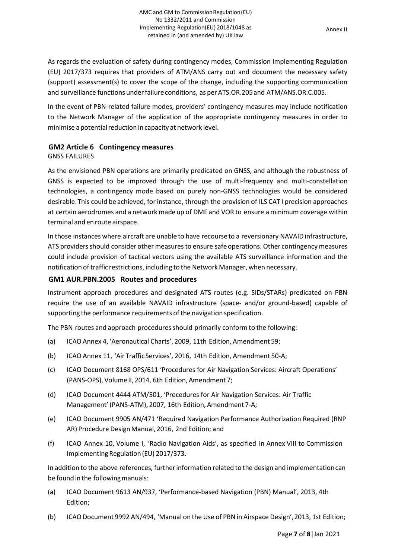As regards the evaluation of safety during contingency modes, Commission Implementing Regulation (EU) 2017/373 requires that providers of ATM/ANS carry out and document the necessary safety (support) assessment(s) to cover the scope of the change, including the supporting communication and surveillance functions under failure conditions, as per ATS.OR.205 and ATM/ANS.OR.C.005.

In the event of PBN-related failure modes, providers' contingency measures may include notification to the Network Manager of the application of the appropriate contingency measures in order to minimise a potential reduction in capacity at network level.

#### <span id="page-6-0"></span>**GM2 Article 6 Contingency measures**

#### GNSS FAILURES

As the envisioned PBN operations are primarily predicated on GNSS, and although the robustness of GNSS is expected to be improved through the use of multi-frequency and multi-constellation technologies, a contingency mode based on purely non-GNSS technologies would be considered desirable. This could be achieved, for instance, through the provision of ILS CAT I precision approaches at certain aerodromes and a network made up of DME and VOR to ensure aminimum coverage within terminal and en route airspace.

In those instances where aircraft are unable to have recourse to a reversionary NAVAID infrastructure, ATS providers should consider other measures to ensure safe operations. Other contingency measures could include provision of tactical vectors using the available ATS surveillance information and the notification of traffic restrictions, including to the Network Manager, when necessary.

#### <span id="page-6-1"></span>**GM1 AUR.PBN.2005 Routes and procedures**

Instrument approach procedures and designated ATS routes (e.g. SIDs/STARs) predicated on PBN require the use of an available NAVAID infrastructure (space- and/or ground-based) capable of supporting the performance requirements of the navigation specification.

The PBN routes and approach proceduresshould primarily conform to the following:

- (a) ICAOAnnex 4, 'Aeronautical Charts', 2009, 11th Edition, Amendment 59;
- (b) ICAO Annex 11, 'Air Traffic Services', 2016, 14th Edition, Amendment 50-A;
- (c) ICAO Document 8168 OPS/611 'Procedures for Air Navigation Services: Aircraft Operations' (PANS-OPS), Volume II, 2014, 6th Edition, Amendment 7;
- (d) ICAO Document 4444 ATM/501, 'Procedures for Air Navigation Services: Air Traffic Management' (PANS-ATM), 2007, 16th Edition, Amendment 7-A;
- (e) ICAO Document 9905 AN/471 'Required Navigation Performance Authorization Required (RNP AR) Procedure Design Manual, 2016, 2nd Edition; and
- (f) ICAO Annex 10, Volume I, 'Radio Navigation Aids', as specified in Annex VIII to Commission Implementing Regulation (EU) 2017/373.

In addition to the above references, furtherinformation related to the design and implementationcan be found in the following manuals:

- (a) ICAO Document 9613 AN/937, 'Performance-based Navigation (PBN) Manual', 2013, 4th Edition;
- (b) ICAODocument 9992 AN/494, 'Manual on the Use of PBN in Airspace Design',2013, 1st Edition;